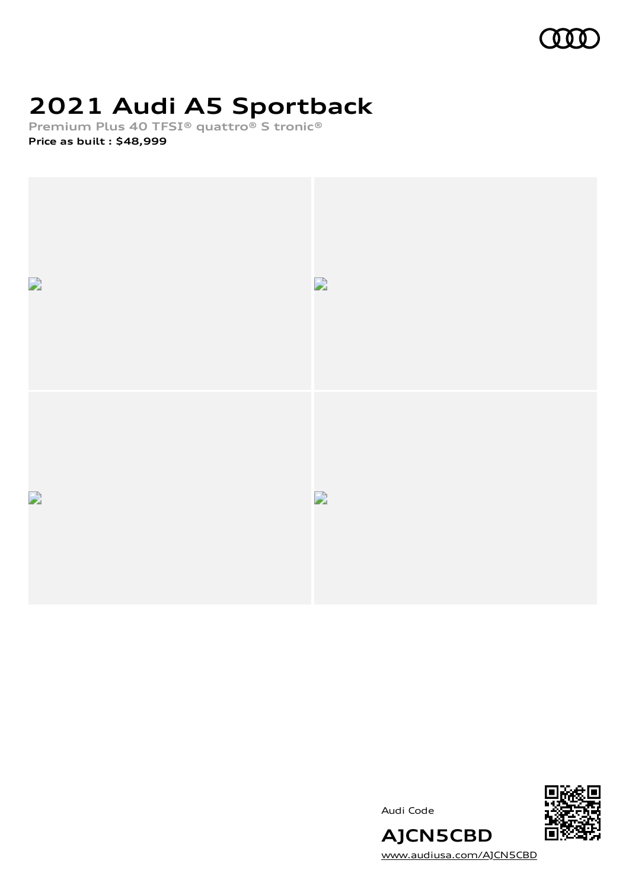

# **2021 Audi A5 Sportback**

**Premium Plus 40 TFSI® quattro® S tronic®**

**Price as built [:](#page-7-0) \$48,999**



Audi Code



[www.audiusa.com/AJCN5CBD](https://www.audiusa.com/AJCN5CBD)

**AJCN5CBD**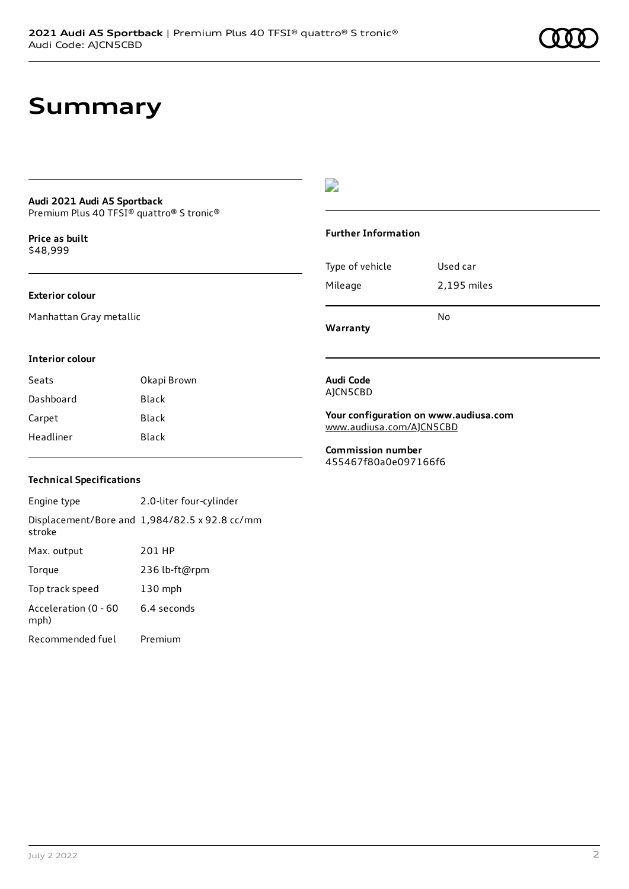# **Summary**

#### **Audi 2021 Audi A5 Sportback** Premium Plus 40 TFSI® quattro® S tronic®

**Price as buil[t](#page-7-0)** \$48,999

### **Exterior colour**

Manhattan Gray metallic

### D

### **Further Information**

Type of vehicle Used car Mileage 2,195 miles

**Warranty**

### **Interior colour**

| Seats     | Okapi Brown |
|-----------|-------------|
| Dashboard | Black       |
| Carpet    | Black       |
| Headliner | Black       |

#### **Audi Code** AJCN5CBD

**Your configuration on www.audiusa.com** [www.audiusa.com/AJCN5CBD](https://www.audiusa.com/AJCN5CBD)

No

**Commission number** 455467f80a0e097166f6

### **Technical Specifications**

Engine type 2.0-liter four-cylinder Displacement/Bore and 1,984/82.5 x 92.8 cc/mm stroke Max. output 201 HP Torque 236 lb-ft@rpm Top track speed 130 mph Acceleration (0 - 60 mph) 6.4 seconds Recommended fuel Premium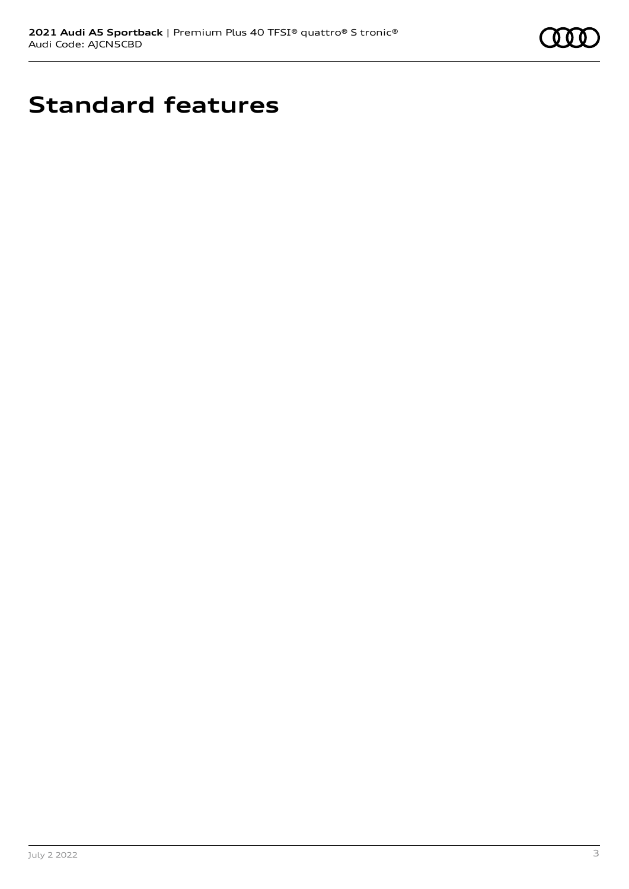

# **Standard features**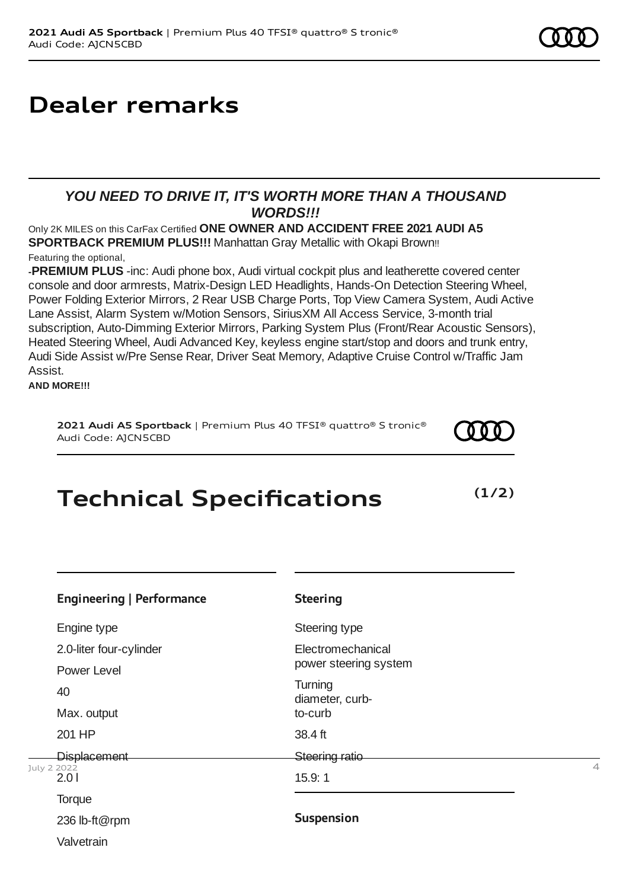# **Dealer remarks**

## *YOU NEED TO DRIVE IT, IT'S WORTH MORE THAN A THOUSAND WORDS!!!*

Only 2K MILES on this CarFax Certified **ONE OWNER AND ACCIDENT FREE 2021 AUDI A5 SPORTBACK PREMIUM PLUS!!!** Manhattan Gray Metallic with Okapi Brown!!

### Featuring the optional,

**-PREMIUM PLUS** -inc: Audi phone box, Audi virtual cockpit plus and leatherette covered center console and door armrests, Matrix-Design LED Headlights, Hands-On Detection Steering Wheel, Power Folding Exterior Mirrors, 2 Rear USB Charge Ports, Top View Camera System, Audi Active Lane Assist, Alarm System w/Motion Sensors, SiriusXM All Access Service, 3-month trial subscription, Auto-Dimming Exterior Mirrors, Parking System Plus (Front/Rear Acoustic Sensors), Heated Steering Wheel, Audi Advanced Key, keyless engine start/stop and doors and trunk entry, Audi Side Assist w/Pre Sense Rear, Driver Seat Memory, Adaptive Cruise Control w/Traffic Jam Assist.

**AND MORE!!!**

### **2021 Audi A5 Sportback** | Premium Plus 40 TFSI® quattro® S tronic® Audi Code: AJCN5CBD

# **Technical Specifications**

| <b>Engineering   Performance</b> | <b>Steering</b>            |                |
|----------------------------------|----------------------------|----------------|
| Engine type                      | Steering type              |                |
| 2.0-liter four-cylinder          | Electromechanical          |                |
| Power Level                      | power steering system      |                |
| 40                               | Turning<br>diameter, curb- |                |
| Max. output                      | to-curb                    |                |
| 201 HP                           | 38.4 ft                    |                |
| <b>Displacement</b>              | <b>Steering ratio</b>      |                |
| July 2 2022<br>2.01              | 15.9:1                     | $\overline{4}$ |
| Torque                           |                            |                |
| 236 lb-ft@rpm                    | <b>Suspension</b>          |                |
| Valvetrain                       |                            |                |



**(1/2)**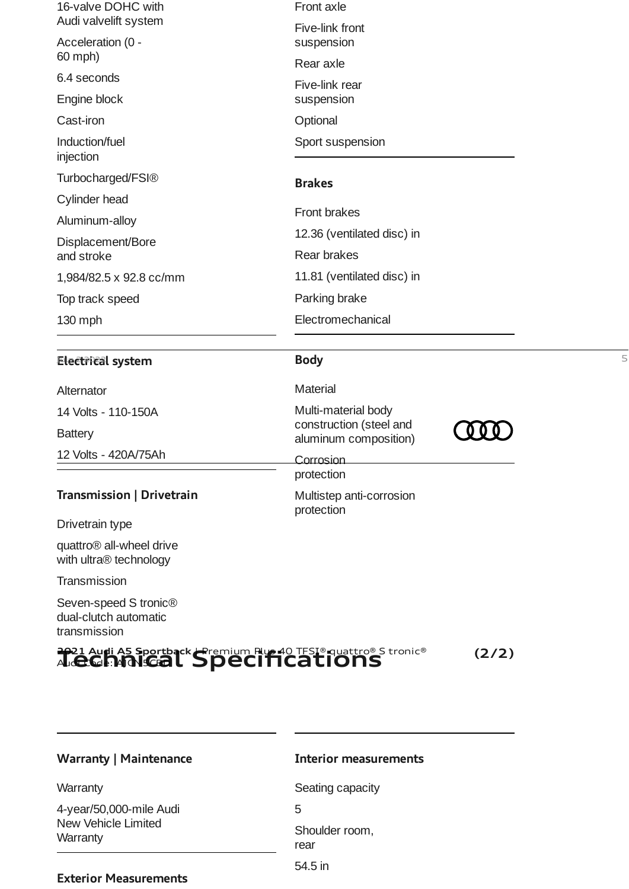| 2021 Augli A5 Sportback Hermium Rus 40 TFSI® quattro® S tronic®            |                                                  | (2/2) |   |  |
|----------------------------------------------------------------------------|--------------------------------------------------|-------|---|--|
| Seven-speed S tronic <sup>®</sup><br>dual-clutch automatic<br>transmission |                                                  |       |   |  |
| Transmission                                                               |                                                  |       |   |  |
| quattro <sup>®</sup> all-wheel drive<br>with ultra® technology             |                                                  |       |   |  |
| Drivetrain type                                                            |                                                  |       |   |  |
|                                                                            | protection                                       |       |   |  |
| Transmission   Drivetrain                                                  | protection<br>Multistep anti-corrosion           |       |   |  |
| 12 Volts - 420A/75Ah                                                       | Corrosion                                        |       |   |  |
| <b>Battery</b>                                                             | construction (steel and<br>aluminum composition) |       |   |  |
| 14 Volts - 110-150A                                                        | Multi-material body                              |       |   |  |
| Alternator                                                                 | <b>Material</b>                                  |       |   |  |
| Electrical system                                                          | <b>Body</b>                                      |       | 5 |  |
| 130 mph                                                                    | Electromechanical                                |       |   |  |
| Top track speed                                                            | Parking brake                                    |       |   |  |
| 1,984/82.5 x 92.8 cc/mm                                                    | 11.81 (ventilated disc) in                       |       |   |  |
| Displacement/Bore<br>and stroke                                            | Rear brakes                                      |       |   |  |
| Aluminum-alloy                                                             | 12.36 (ventilated disc) in                       |       |   |  |
| Cylinder head                                                              | Front brakes                                     |       |   |  |
| Turbocharged/FSI®                                                          | <b>Brakes</b>                                    |       |   |  |
| injection                                                                  |                                                  |       |   |  |
| Induction/fuel                                                             | Sport suspension                                 |       |   |  |
| Engine block<br>Cast-iron                                                  | suspension<br>Optional                           |       |   |  |
| 6.4 seconds                                                                | Five-link rear                                   |       |   |  |
| 60 mph)                                                                    | Rear axle                                        |       |   |  |
| Audi valvelift system<br>Acceleration (0 -                                 | Five-link front<br>suspension                    |       |   |  |
| 16-valve DOHC with                                                         | Front axle                                       |       |   |  |

4-year/50,000-mile Audi New Vehicle Limited

**Warranty** 

**Warranty** 

### **Interior measurements**

Seating capacity 5 Shoulder room, rear 54.5 in

## **Exterior Measurements**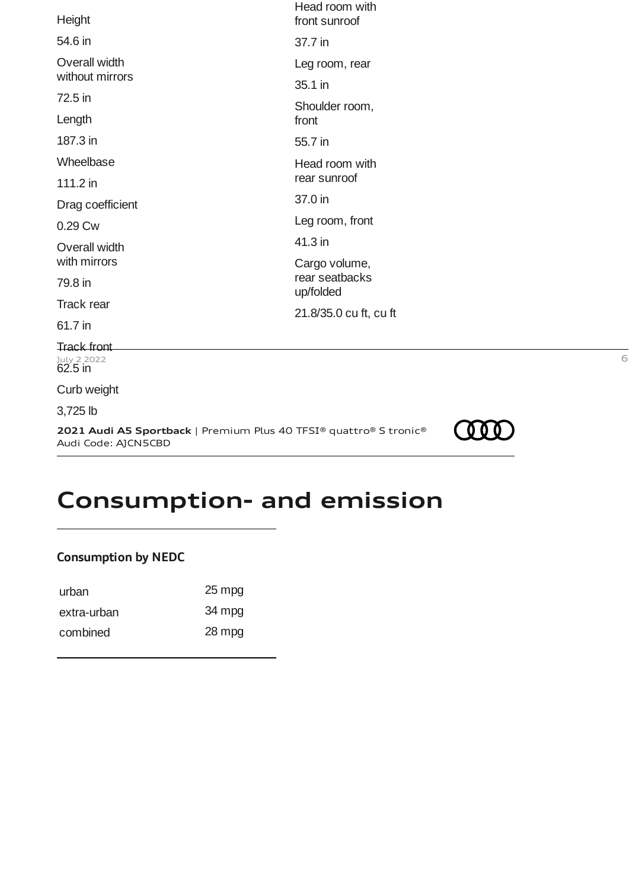| Height                                   | Head room with<br>front sunroof |
|------------------------------------------|---------------------------------|
| 54.6 in                                  | 37.7 in                         |
| Overall width                            | Leg room, rear                  |
| without mirrors                          | 35.1 in                         |
| 72.5 in                                  | Shoulder room,                  |
| Length                                   | front                           |
| 187.3 in                                 | 55.7 in                         |
| Wheelbase                                | Head room with                  |
| 111.2 in                                 | rear sunroof                    |
| Drag coefficient                         | 37.0 in                         |
| 0.29 Cw                                  | Leg room, front                 |
| Overall width                            | 41.3 in                         |
| with mirrors                             | Cargo volume,                   |
| 79.8 in                                  | rear seatbacks<br>up/folded     |
| Track rear                               | 21.8/35.0 cu ft, cu ft          |
| 61.7 in                                  |                                 |
| <b>Track front</b>                       |                                 |
| <sup>July</sup> 2 2022<br><b>62.5 in</b> | 6                               |
| Curb weight                              |                                 |
| 3,725 lb                                 | <b>ANY</b>                      |
|                                          |                                 |

**2021 Audi A5 Sportback** | Premium Plus 40 TFSI® quattro® S tronic® Audi Code: AJCN5CBD



## **Consumption- and emission**

## **Consumption by NEDC**

| urban       | 25 mpg |
|-------------|--------|
| extra-urban | 34 mpg |
| combined    | 28 mpg |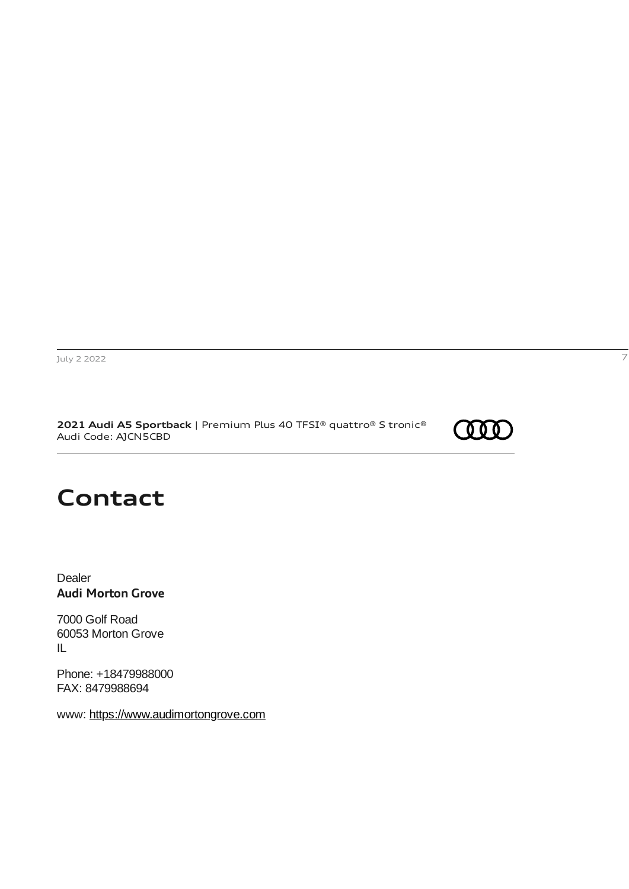**2021 Audi A5 Sportback** | Premium Plus 40 TFSI® quattro® S tronic® Audi Code: AJCN5CBD



## **Contact**

Dealer **Audi Morton Grove**

7000 Golf Road 60053 Morton Grove IL

Phone: +18479988000 FAX: 8479988694

www: [https://www.audimortongrove.com](https://www.audimortongrove.com/)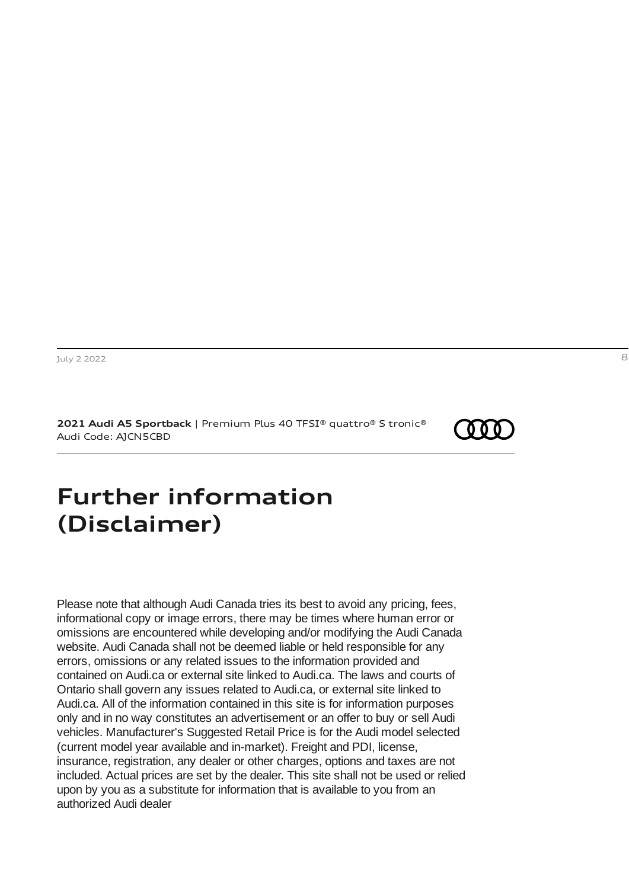**2021 Audi A5 Sportback** | Premium Plus 40 TFSI® quattro® S tronic® Audi Code: AJCN5CBD



## <span id="page-7-0"></span>**Further information (Disclaimer)**

Please note that although Audi Canada tries its best to avoid any pricing, fees, informational copy or image errors, there may be times where human error or omissions are encountered while developing and/or modifying the Audi Canada website. Audi Canada shall not be deemed liable or held responsible for any errors, omissions or any related issues to the information provided and contained on Audi.ca or external site linked to Audi.ca. The laws and courts of Ontario shall govern any issues related to Audi.ca, or external site linked to Audi.ca. All of the information contained in this site is for information purposes only and in no way constitutes an advertisement or an offer to buy or sell Audi vehicles. Manufacturer's Suggested Retail Price is for the Audi model selected (current model year available and in-market). Freight and PDI, license, insurance, registration, any dealer or other charges, options and taxes are not included. Actual prices are set by the dealer. This site shall not be used or relied upon by you as a substitute for information that is available to you from an authorized Audi dealer